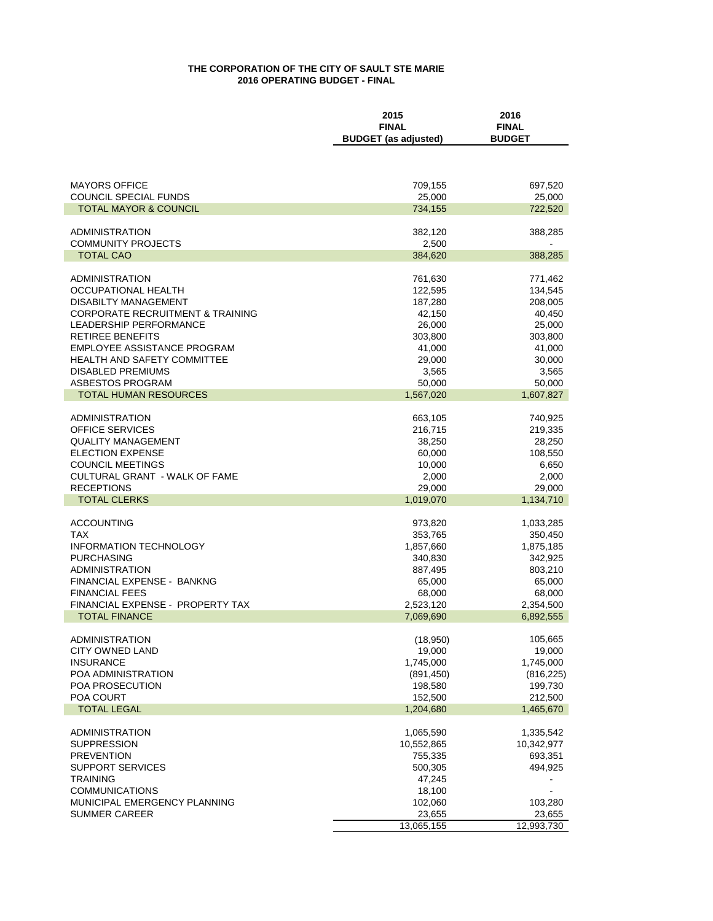## **THE CORPORATION OF THE CITY OF SAULT STE MARIE 2016 OPERATING BUDGET - FINAL**

|                                             | 2015<br>2016                |               |  |
|---------------------------------------------|-----------------------------|---------------|--|
|                                             | <b>FINAL</b>                | <b>FINAL</b>  |  |
|                                             | <b>BUDGET</b> (as adjusted) | <b>BUDGET</b> |  |
|                                             |                             |               |  |
|                                             |                             |               |  |
| <b>MAYORS OFFICE</b>                        | 709,155                     | 697,520       |  |
| <b>COUNCIL SPECIAL FUNDS</b>                | 25,000                      | 25,000        |  |
| <b>TOTAL MAYOR &amp; COUNCIL</b>            | 734,155                     | 722,520       |  |
|                                             |                             |               |  |
| ADMINISTRATION                              | 382,120                     | 388,285       |  |
| <b>COMMUNITY PROJECTS</b>                   | 2,500                       |               |  |
| <b>TOTAL CAO</b>                            | 384,620                     | 388,285       |  |
|                                             |                             |               |  |
| <b>ADMINISTRATION</b>                       | 761,630                     | 771,462       |  |
| OCCUPATIONAL HEALTH                         | 122,595                     | 134,545       |  |
| <b>DISABILTY MANAGEMENT</b>                 | 187,280                     | 208,005       |  |
| <b>CORPORATE RECRUITMENT &amp; TRAINING</b> | 42,150                      | 40,450        |  |
| <b>LEADERSHIP PERFORMANCE</b>               | 26,000                      | 25,000        |  |
| RETIREE BENEFITS                            | 303,800                     | 303,800       |  |
| EMPLOYEE ASSISTANCE PROGRAM                 | 41,000                      | 41,000        |  |
| <b>HEALTH AND SAFETY COMMITTEE</b>          | 29,000                      | 30,000        |  |
| <b>DISABLED PREMIUMS</b>                    | 3,565                       | 3,565         |  |
| ASBESTOS PROGRAM                            | 50,000                      | 50,000        |  |
| TOTAL HUMAN RESOURCES                       | 1,567,020                   | 1,607,827     |  |
|                                             |                             |               |  |
| <b>ADMINISTRATION</b>                       | 663,105                     | 740,925       |  |
| <b>OFFICE SERVICES</b>                      | 216,715                     | 219,335       |  |
| <b>QUALITY MANAGEMENT</b>                   | 38,250                      | 28,250        |  |
| <b>ELECTION EXPENSE</b>                     | 60,000                      | 108,550       |  |
| <b>COUNCIL MEETINGS</b>                     | 10,000                      | 6,650         |  |
| CULTURAL GRANT - WALK OF FAME               | 2,000                       | 2,000         |  |
| <b>RECEPTIONS</b>                           | 29,000                      | 29,000        |  |
| <b>TOTAL CLERKS</b>                         | 1,019,070                   | 1,134,710     |  |
|                                             |                             |               |  |
| <b>ACCOUNTING</b>                           | 973,820                     | 1,033,285     |  |
| <b>TAX</b>                                  | 353,765                     | 350,450       |  |
| <b>INFORMATION TECHNOLOGY</b>               | 1,857,660                   | 1,875,185     |  |
| <b>PURCHASING</b>                           | 340,830                     | 342,925       |  |
| <b>ADMINISTRATION</b>                       | 887,495                     | 803,210       |  |
| FINANCIAL EXPENSE - BANKNG                  | 65,000                      | 65,000        |  |
| <b>FINANCIAL FEES</b>                       | 68,000                      | 68,000        |  |
| FINANCIAL EXPENSE - PROPERTY TAX            | 2,523,120                   | 2,354,500     |  |
| <b>TOTAL FINANCE</b>                        | 7,069,690                   | 6,892,555     |  |
|                                             |                             |               |  |
| <b>ADMINISTRATION</b>                       | (18,950)                    | 105,665       |  |
| CITY OWNED LAND                             | 19,000                      | 19,000        |  |
| <b>INSURANCE</b>                            | 1,745,000                   | 1,745,000     |  |
| POA ADMINISTRATION                          | (891, 450)                  | (816, 225)    |  |
| <b>POA PROSECUTION</b>                      | 198,580                     | 199,730       |  |
| POA COURT                                   | 152,500                     | 212,500       |  |
| <b>TOTAL LEGAL</b>                          | 1,204,680                   | 1,465,670     |  |
|                                             |                             |               |  |
| <b>ADMINISTRATION</b>                       | 1,065,590                   | 1,335,542     |  |
| <b>SUPPRESSION</b>                          | 10,552,865                  | 10,342,977    |  |
| <b>PREVENTION</b>                           | 755,335                     | 693,351       |  |
| <b>SUPPORT SERVICES</b>                     | 500,305                     | 494,925       |  |
| <b>TRAINING</b>                             | 47,245                      |               |  |
| <b>COMMUNICATIONS</b>                       | 18,100                      |               |  |
| MUNICIPAL EMERGENCY PLANNING                | 102,060                     | 103,280       |  |
| <b>SUMMER CAREER</b>                        | 23,655                      | 23,655        |  |
|                                             | 13,065,155                  | 12,993,730    |  |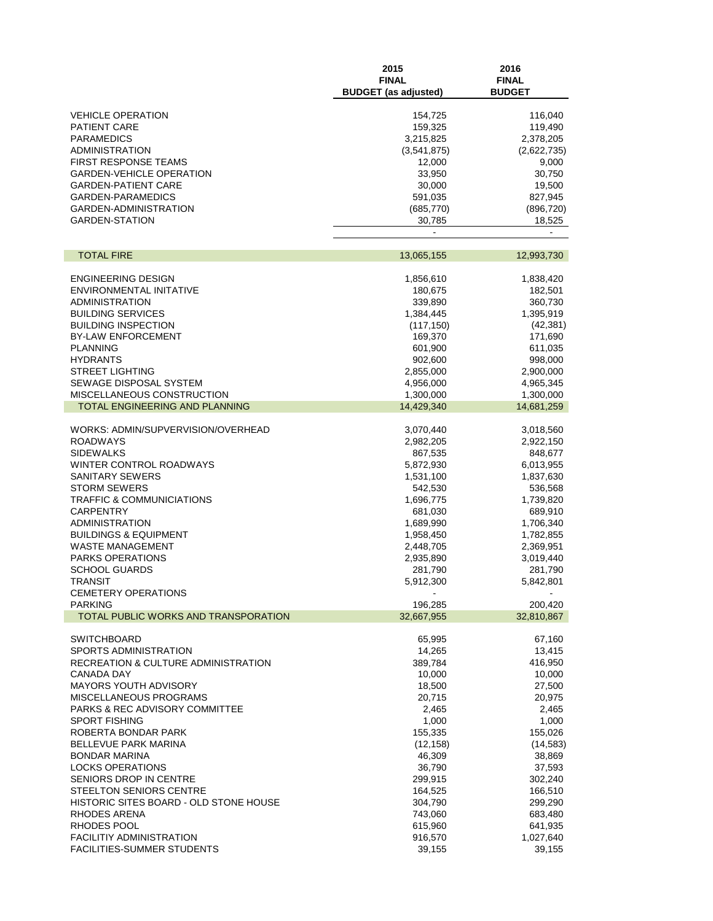|                                                         | 2015<br><b>FINAL</b><br><b>BUDGET</b> (as adjusted) | 2016<br><b>FINAL</b><br><b>BUDGET</b> |
|---------------------------------------------------------|-----------------------------------------------------|---------------------------------------|
|                                                         |                                                     |                                       |
| <b>VEHICLE OPERATION</b>                                | 154,725                                             | 116,040                               |
| <b>PATIENT CARE</b><br><b>PARAMEDICS</b>                | 159,325<br>3,215,825                                | 119,490<br>2,378,205                  |
| <b>ADMINISTRATION</b>                                   | (3,541,875)                                         | (2,622,735)                           |
| <b>FIRST RESPONSE TEAMS</b>                             | 12,000                                              | 9,000                                 |
| <b>GARDEN-VEHICLE OPERATION</b>                         | 33,950                                              | 30,750                                |
| <b>GARDEN-PATIENT CARE</b>                              | 30,000                                              | 19,500                                |
| <b>GARDEN-PARAMEDICS</b>                                | 591,035                                             | 827,945                               |
| GARDEN-ADMINISTRATION                                   | (685, 770)                                          | (896, 720)                            |
| <b>GARDEN-STATION</b>                                   | 30,785                                              | 18,525                                |
|                                                         |                                                     |                                       |
| <b>TOTAL FIRE</b>                                       | 13,065,155                                          | 12,993,730                            |
| <b>ENGINEERING DESIGN</b>                               | 1,856,610                                           | 1,838,420                             |
| ENVIRONMENTAL INITATIVE                                 | 180,675                                             | 182,501                               |
| <b>ADMINISTRATION</b>                                   | 339,890                                             | 360,730                               |
| <b>BUILDING SERVICES</b>                                | 1,384,445                                           | 1,395,919                             |
| <b>BUILDING INSPECTION</b><br><b>BY-LAW ENFORCEMENT</b> | (117, 150)                                          | (42, 381)                             |
| <b>PLANNING</b>                                         | 169,370<br>601,900                                  | 171,690<br>611,035                    |
| <b>HYDRANTS</b>                                         | 902,600                                             | 998,000                               |
| <b>STREET LIGHTING</b>                                  | 2,855,000                                           | 2,900,000                             |
| SEWAGE DISPOSAL SYSTEM                                  | 4,956,000                                           | 4,965,345                             |
| MISCELLANEOUS CONSTRUCTION                              | 1,300,000                                           | 1,300,000                             |
| TOTAL ENGINEERING AND PLANNING                          | 14,429,340                                          | 14,681,259                            |
| WORKS: ADMIN/SUPVERVISION/OVERHEAD                      |                                                     |                                       |
| ROADWAYS                                                | 3,070,440<br>2,982,205                              | 3,018,560<br>2,922,150                |
| <b>SIDEWALKS</b>                                        | 867,535                                             | 848,677                               |
| WINTER CONTROL ROADWAYS                                 | 5,872,930                                           | 6,013,955                             |
| SANITARY SEWERS                                         | 1,531,100                                           | 1,837,630                             |
| <b>STORM SEWERS</b>                                     | 542,530                                             | 536,568                               |
| <b>TRAFFIC &amp; COMMUNICIATIONS</b>                    | 1,696,775                                           | 1,739,820                             |
| <b>CARPENTRY</b>                                        | 681,030                                             | 689,910                               |
| <b>ADMINISTRATION</b>                                   | 1,689,990                                           | 1,706,340                             |
| <b>BUILDINGS &amp; EQUIPMENT</b>                        | 1,958,450                                           | 1,782,855                             |
| <b>WASTE MANAGEMENT</b>                                 | 2,448,705                                           | 2,369,951                             |
| <b>PARKS OPERATIONS</b>                                 | 2,935,890                                           | 3,019,440                             |
| <b>SCHOOL GUARDS</b>                                    | 281,790                                             | 281,790                               |
| <b>TRANSIT</b><br><b>CEMETERY OPERATIONS</b>            | 5,912,300                                           | 5,842,801                             |
| <b>PARKING</b>                                          | 196,285                                             | 200,420                               |
| TOTAL PUBLIC WORKS AND TRANSPORATION                    | 32,667,955                                          | 32,810,867                            |
| <b>SWITCHBOARD</b>                                      | 65,995                                              | 67,160                                |
| SPORTS ADMINISTRATION                                   | 14,265                                              | 13,415                                |
| RECREATION & CULTURE ADMINISTRATION                     | 389,784                                             | 416,950                               |
| CANADA DAY                                              | 10,000                                              | 10,000                                |
| MAYORS YOUTH ADVISORY                                   | 18,500                                              | 27,500                                |
| MISCELLANEOUS PROGRAMS                                  | 20,715                                              | 20,975                                |
| PARKS & REC ADVISORY COMMITTEE                          | 2,465                                               | 2,465                                 |
| <b>SPORT FISHING</b>                                    | 1,000                                               | 1,000                                 |
| ROBERTA BONDAR PARK                                     | 155,335                                             | 155,026                               |
| <b>BELLEVUE PARK MARINA</b>                             | (12, 158)                                           | (14, 583)                             |
| <b>BONDAR MARINA</b><br><b>LOCKS OPERATIONS</b>         | 46,309<br>36,790                                    | 38,869<br>37,593                      |
| SENIORS DROP IN CENTRE                                  | 299,915                                             | 302,240                               |
| STEELTON SENIORS CENTRE                                 | 164,525                                             | 166,510                               |
| HISTORIC SITES BOARD - OLD STONE HOUSE                  | 304,790                                             | 299,290                               |
| RHODES ARENA                                            | 743,060                                             | 683,480                               |
| RHODES POOL                                             | 615,960                                             | 641,935                               |
| <b>FACILITIY ADMINISTRATION</b>                         | 916,570                                             | 1,027,640                             |
| <b>FACILITIES-SUMMER STUDENTS</b>                       | 39,155                                              | 39,155                                |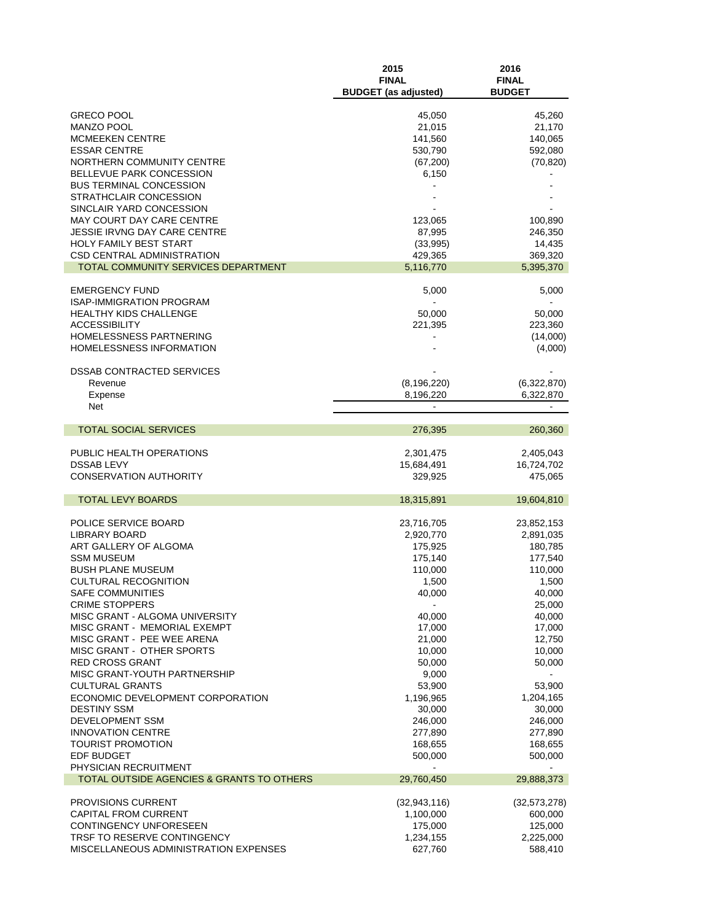|                                                            | 2015<br><b>FINAL</b><br><b>BUDGET</b> (as adjusted) | 2016<br><b>FINAL</b><br><b>BUDGET</b> |
|------------------------------------------------------------|-----------------------------------------------------|---------------------------------------|
|                                                            |                                                     |                                       |
| <b>GRECO POOL</b><br><b>MANZO POOL</b>                     | 45,050<br>21,015                                    | 45,260<br>21,170                      |
| <b>MCMEEKEN CENTRE</b>                                     | 141,560                                             | 140,065                               |
| <b>ESSAR CENTRE</b>                                        | 530,790                                             | 592,080                               |
| NORTHERN COMMUNITY CENTRE                                  | (67, 200)                                           | (70, 820)                             |
| BELLEVUE PARK CONCESSION                                   | 6,150                                               |                                       |
| <b>BUS TERMINAL CONCESSION</b>                             |                                                     |                                       |
| STRATHCLAIR CONCESSION                                     |                                                     |                                       |
| SINCLAIR YARD CONCESSION                                   |                                                     |                                       |
| MAY COURT DAY CARE CENTRE                                  | 123,065                                             | 100,890                               |
| <b>JESSIE IRVNG DAY CARE CENTRE</b>                        | 87,995                                              | 246,350                               |
| <b>HOLY FAMILY BEST START</b>                              | (33,995)                                            | 14,435                                |
| <b>CSD CENTRAL ADMINISTRATION</b>                          | 429,365                                             | 369,320                               |
| TOTAL COMMUNITY SERVICES DEPARTMENT                        | 5,116,770                                           | 5,395,370                             |
| <b>EMERGENCY FUND</b>                                      | 5,000                                               | 5,000                                 |
| <b>ISAP-IMMIGRATION PROGRAM</b>                            |                                                     |                                       |
| <b>HEALTHY KIDS CHALLENGE</b>                              | 50,000                                              | 50,000                                |
| <b>ACCESSIBILITY</b>                                       | 221,395                                             | 223,360                               |
| HOMELESSNESS PARTNERING                                    |                                                     | (14,000)                              |
| HOMELESSNESS INFORMATION                                   |                                                     | (4,000)                               |
|                                                            |                                                     |                                       |
| <b>DSSAB CONTRACTED SERVICES</b>                           |                                                     |                                       |
| Revenue                                                    | (8, 196, 220)                                       | (6,322,870)                           |
| Expense<br>Net                                             | 8,196,220                                           | 6,322,870                             |
|                                                            |                                                     |                                       |
| <b>TOTAL SOCIAL SERVICES</b>                               | 276,395                                             | 260,360                               |
| PUBLIC HEALTH OPERATIONS                                   | 2,301,475                                           | 2,405,043                             |
| <b>DSSAB LEVY</b>                                          | 15,684,491                                          | 16,724,702                            |
| <b>CONSERVATION AUTHORITY</b>                              | 329,925                                             | 475,065                               |
| <b>TOTAL LEVY BOARDS</b>                                   |                                                     |                                       |
|                                                            | 18,315,891                                          | 19,604,810                            |
| POLICE SERVICE BOARD                                       | 23,716,705                                          | 23,852,153                            |
| <b>LIBRARY BOARD</b>                                       | 2,920,770                                           | 2,891,035                             |
| ART GALLERY OF ALGOMA                                      | 175,925                                             | 180,785                               |
| <b>SSM MUSEUM</b>                                          | 175,140                                             | 177,540                               |
| <b>BUSH PLANE MUSEUM</b>                                   | 110,000                                             | 110,000                               |
| <b>CULTURAL RECOGNITION</b>                                | 1,500                                               | 1,500                                 |
| SAFE COMMUNITIES                                           | 40,000                                              | 40,000                                |
| <b>CRIME STOPPERS</b>                                      |                                                     | 25,000                                |
| MISC GRANT - ALGOMA UNIVERSITY                             | 40,000                                              | 40,000                                |
| MISC GRANT - MEMORIAL EXEMPT<br>MISC GRANT - PEE WEE ARENA | 17,000<br>21,000                                    | 17,000<br>12,750                      |
| MISC GRANT - OTHER SPORTS                                  | 10,000                                              | 10,000                                |
| <b>RED CROSS GRANT</b>                                     | 50,000                                              | 50,000                                |
| MISC GRANT-YOUTH PARTNERSHIP                               | 9,000                                               |                                       |
| <b>CULTURAL GRANTS</b>                                     | 53,900                                              | 53,900                                |
| ECONOMIC DEVELOPMENT CORPORATION                           | 1,196,965                                           | 1,204,165                             |
| <b>DESTINY SSM</b>                                         | 30,000                                              | 30,000                                |
| <b>DEVELOPMENT SSM</b>                                     | 246,000                                             | 246,000                               |
| <b>INNOVATION CENTRE</b>                                   | 277,890                                             | 277,890                               |
| <b>TOURIST PROMOTION</b>                                   | 168,655                                             | 168,655                               |
| <b>EDF BUDGET</b>                                          | 500,000                                             | 500,000                               |
| PHYSICIAN RECRUITMENT                                      |                                                     |                                       |
| TOTAL OUTSIDE AGENCIES & GRANTS TO OTHERS                  | 29,760,450                                          | 29,888,373                            |
| <b>PROVISIONS CURRENT</b>                                  | (32, 943, 116)                                      | (32, 573, 278)                        |
| CAPITAL FROM CURRENT                                       | 1,100,000                                           | 600,000                               |
| CONTINGENCY UNFORESEEN                                     | 175,000                                             | 125,000                               |
| TRSF TO RESERVE CONTINGENCY                                | 1,234,155                                           | 2,225,000                             |
| MISCELLANEOUS ADMINISTRATION EXPENSES                      | 627,760                                             | 588,410                               |